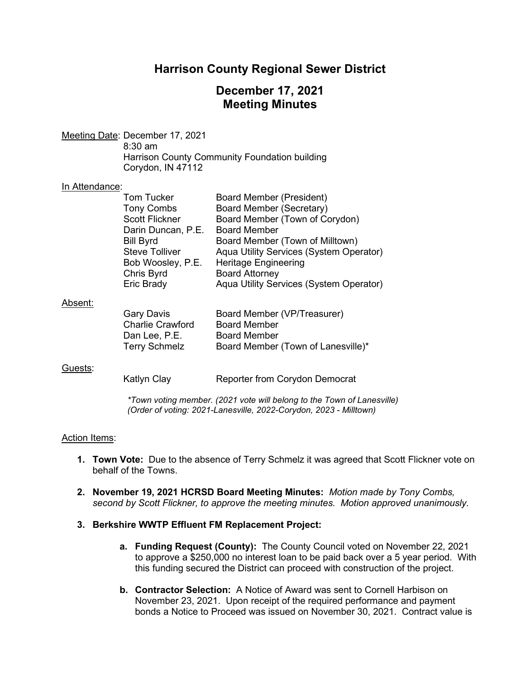# **Harrison County Regional Sewer District**

# **December 17, 2021 Meeting Minutes**

Meeting Date: December 17, 2021 8:30 am Harrison County Community Foundation building Corydon, IN 47112

#### In Attendance:

| <b>Tom Tucker</b>     | <b>Board Member (President)</b>         |
|-----------------------|-----------------------------------------|
| <b>Tony Combs</b>     | <b>Board Member (Secretary)</b>         |
| <b>Scott Flickner</b> | Board Member (Town of Corydon)          |
| Darin Duncan, P.E.    | <b>Board Member</b>                     |
| <b>Bill Byrd</b>      | Board Member (Town of Milltown)         |
| <b>Steve Tolliver</b> | Aqua Utility Services (System Operator) |
| Bob Woosley, P.E.     | <b>Heritage Engineering</b>             |
| Chris Byrd            | <b>Board Attorney</b>                   |
| Eric Brady            | Aqua Utility Services (System Operator) |
|                       |                                         |
|                       |                                         |

#### Absent:

| Board Member (VP/Treasurer)        |
|------------------------------------|
| <b>Board Member</b>                |
| <b>Board Member</b>                |
| Board Member (Town of Lanesville)* |
|                                    |

#### Guests:

Katlyn Clay **Reporter from Corydon Democrat** 

*\*Town voting member. (2021 vote will belong to the Town of Lanesville) (Order of voting: 2021-Lanesville, 2022-Corydon, 2023 - Milltown)*

#### Action Items:

- **1. Town Vote:** Due to the absence of Terry Schmelz it was agreed that Scott Flickner vote on behalf of the Towns.
- **2. November 19, 2021 HCRSD Board Meeting Minutes:** *Motion made by Tony Combs, second by Scott Flickner, to approve the meeting minutes. Motion approved unanimously.*

#### **3. Berkshire WWTP Effluent FM Replacement Project:**

- **a. Funding Request (County):** The County Council voted on November 22, 2021 to approve a \$250,000 no interest loan to be paid back over a 5 year period. With this funding secured the District can proceed with construction of the project.
- **b. Contractor Selection:** A Notice of Award was sent to Cornell Harbison on November 23, 2021. Upon receipt of the required performance and payment bonds a Notice to Proceed was issued on November 30, 2021. Contract value is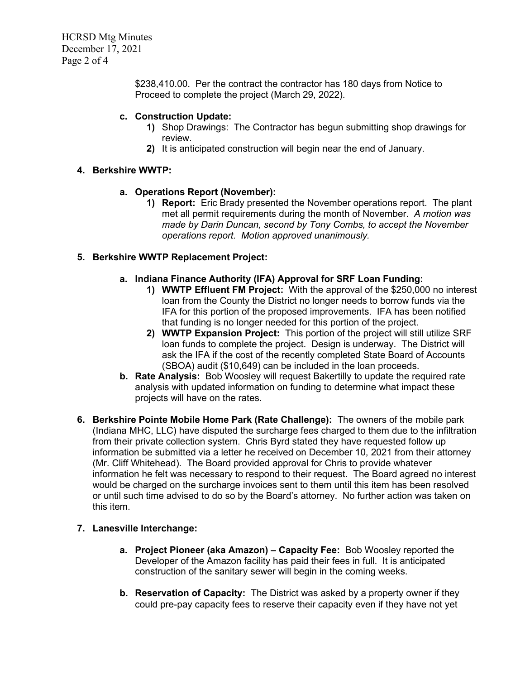HCRSD Mtg Minutes December 17, 2021 Page 2 of 4

> \$238,410.00. Per the contract the contractor has 180 days from Notice to Proceed to complete the project (March 29, 2022).

### **c. Construction Update:**

- **1)** Shop Drawings: The Contractor has begun submitting shop drawings for review.
- **2)** It is anticipated construction will begin near the end of January.

## **4. Berkshire WWTP:**

## **a. Operations Report (November):**

**1) Report:** Eric Brady presented the November operations report. The plant met all permit requirements during the month of November. *A motion was made by Darin Duncan, second by Tony Combs, to accept the November operations report. Motion approved unanimously.*

## **5. Berkshire WWTP Replacement Project:**

### **a. Indiana Finance Authority (IFA) Approval for SRF Loan Funding:**

- **1) WWTP Effluent FM Project:** With the approval of the \$250,000 no interest loan from the County the District no longer needs to borrow funds via the IFA for this portion of the proposed improvements. IFA has been notified that funding is no longer needed for this portion of the project.
- **2) WWTP Expansion Project:** This portion of the project will still utilize SRF loan funds to complete the project. Design is underway. The District will ask the IFA if the cost of the recently completed State Board of Accounts (SBOA) audit (\$10,649) can be included in the loan proceeds.
- **b. Rate Analysis:** Bob Woosley will request Bakertilly to update the required rate analysis with updated information on funding to determine what impact these projects will have on the rates.
- **6. Berkshire Pointe Mobile Home Park (Rate Challenge):** The owners of the mobile park (Indiana MHC, LLC) have disputed the surcharge fees charged to them due to the infiltration from their private collection system. Chris Byrd stated they have requested follow up information be submitted via a letter he received on December 10, 2021 from their attorney (Mr. Cliff Whitehead). The Board provided approval for Chris to provide whatever information he felt was necessary to respond to their request. The Board agreed no interest would be charged on the surcharge invoices sent to them until this item has been resolved or until such time advised to do so by the Board's attorney. No further action was taken on this item.

## **7. Lanesville Interchange:**

- **a. Project Pioneer (aka Amazon) – Capacity Fee:** Bob Woosley reported the Developer of the Amazon facility has paid their fees in full. It is anticipated construction of the sanitary sewer will begin in the coming weeks.
- **b. Reservation of Capacity:** The District was asked by a property owner if they could pre-pay capacity fees to reserve their capacity even if they have not yet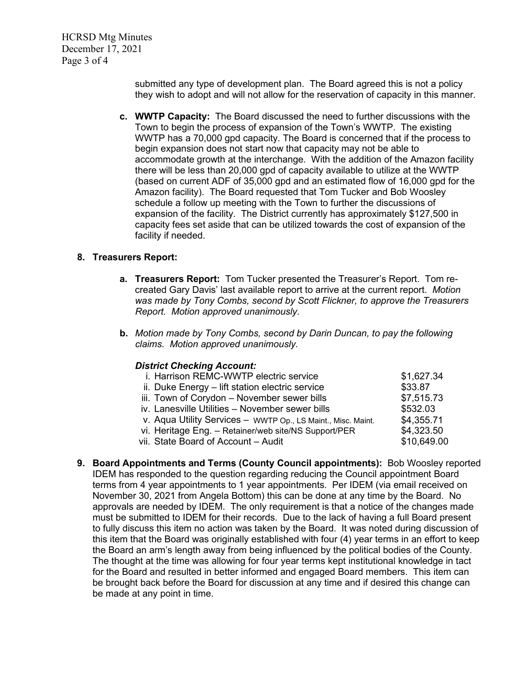HCRSD Mtg Minutes December 17, 2021 Page 3 of 4

> submitted any type of development plan. The Board agreed this is not a policy they wish to adopt and will not allow for the reservation of capacity in this manner.

**c. WWTP Capacity:** The Board discussed the need to further discussions with the Town to begin the process of expansion of the Town's WWTP. The existing WWTP has a 70,000 gpd capacity. The Board is concerned that if the process to begin expansion does not start now that capacity may not be able to accommodate growth at the interchange. With the addition of the Amazon facility there will be less than 20,000 gpd of capacity available to utilize at the WWTP (based on current ADF of 35,000 gpd and an estimated flow of 16,000 gpd for the Amazon facility). The Board requested that Tom Tucker and Bob Woosley schedule a follow up meeting with the Town to further the discussions of expansion of the facility. The District currently has approximately \$127,500 in capacity fees set aside that can be utilized towards the cost of expansion of the facility if needed.

### **8. Treasurers Report:**

- **a. Treasurers Report:** Tom Tucker presented the Treasurer's Report. Tom recreated Gary Davis' last available report to arrive at the current report. *Motion was made by Tony Combs, second by Scott Flickner, to approve the Treasurers Report. Motion approved unanimously.*
- **b.** *Motion made by Tony Combs, second by Darin Duncan, to pay the following claims. Motion approved unanimously.*

#### *District Checking Account:*

| i. Harrison REMC-WWTP electric service                       | \$1,627.34  |
|--------------------------------------------------------------|-------------|
| ii. Duke Energy - lift station electric service              | \$33.87     |
| iii. Town of Corydon - November sewer bills                  | \$7,515.73  |
| iv. Lanesville Utilities - November sewer bills              | \$532.03    |
| v. Aqua Utility Services - WWTP Op., LS Maint., Misc. Maint. | \$4,355.71  |
| vi. Heritage Eng. - Retainer/web site/NS Support/PER         | \$4,323.50  |
| vii. State Board of Account - Audit                          | \$10,649.00 |
|                                                              |             |

**9. Board Appointments and Terms (County Council appointments):** Bob Woosley reported IDEM has responded to the question regarding reducing the Council appointment Board terms from 4 year appointments to 1 year appointments. Per IDEM (via email received on November 30, 2021 from Angela Bottom) this can be done at any time by the Board. No approvals are needed by IDEM. The only requirement is that a notice of the changes made must be submitted to IDEM for their records. Due to the lack of having a full Board present to fully discuss this item no action was taken by the Board. It was noted during discussion of this item that the Board was originally established with four (4) year terms in an effort to keep the Board an arm's length away from being influenced by the political bodies of the County. The thought at the time was allowing for four year terms kept institutional knowledge in tact for the Board and resulted in better informed and engaged Board members. This item can be brought back before the Board for discussion at any time and if desired this change can be made at any point in time.